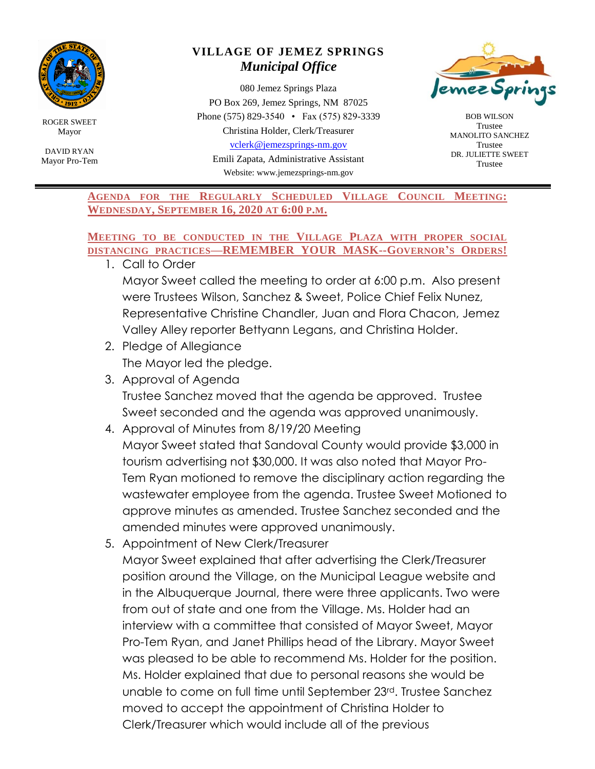

ROGER SWEET Mayor

DAVID RYAN Mayor Pro-Tem

## **VILLAGE OF JEMEZ SPRINGS** *Municipal Office*

080 Jemez Springs Plaza PO Box 269, Jemez Springs, NM 87025 Phone (575) 829-3540 • Fax (575) 829-3339 Christina Holder, Clerk/Treasurer [vclerk@jemezsprings-nm.gov](mailto:vclerk@jemezsprings-nm.gov)

Emili Zapata, Administrative Assistant Website: www.jemezsprings-nm.gov



BOB WILSON Trustee MANOLITO SANCHEZ Trustee DR. JULIETTE SWEET Trustee

**AGENDA FOR THE REGULARLY SCHEDULED VILLAGE COUNCIL MEETING: WEDNESDAY, SEPTEMBER 16, 2020 AT 6:00 P.M.**

## **MEETING TO BE CONDUCTED IN THE VILLAGE PLAZA WITH PROPER SOCIAL DISTANCING PRACTICES—REMEMBER YOUR MASK--GOVERNOR'S ORDERS!**

1. Call to Order

Mayor Sweet called the meeting to order at 6:00 p.m. Also present were Trustees Wilson, Sanchez & Sweet, Police Chief Felix Nunez, Representative Christine Chandler, Juan and Flora Chacon, Jemez Valley Alley reporter Bettyann Legans, and Christina Holder.

- 2. Pledge of Allegiance The Mayor led the pledge.
- 3. Approval of Agenda Trustee Sanchez moved that the agenda be approved. Trustee Sweet seconded and the agenda was approved unanimously.
- 4. Approval of Minutes from 8/19/20 Meeting Mayor Sweet stated that Sandoval County would provide \$3,000 in tourism advertising not \$30,000. It was also noted that Mayor Pro-Tem Ryan motioned to remove the disciplinary action regarding the wastewater employee from the agenda. Trustee Sweet Motioned to approve minutes as amended. Trustee Sanchez seconded and the amended minutes were approved unanimously.
- 5. Appointment of New Clerk/Treasurer

Mayor Sweet explained that after advertising the Clerk/Treasurer position around the Village, on the Municipal League website and in the Albuquerque Journal, there were three applicants. Two were from out of state and one from the Village. Ms. Holder had an interview with a committee that consisted of Mayor Sweet, Mayor Pro-Tem Ryan, and Janet Phillips head of the Library. Mayor Sweet was pleased to be able to recommend Ms. Holder for the position. Ms. Holder explained that due to personal reasons she would be unable to come on full time until September 23rd. Trustee Sanchez moved to accept the appointment of Christina Holder to Clerk/Treasurer which would include all of the previous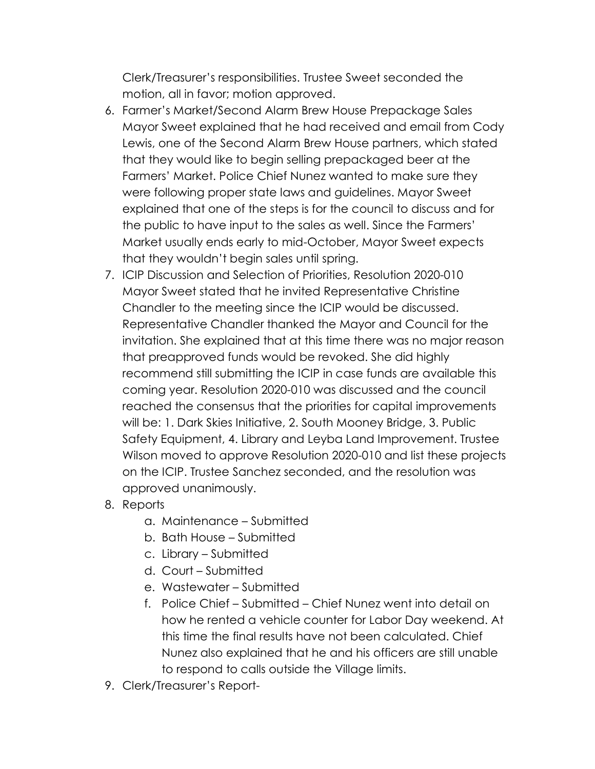Clerk/Treasurer's responsibilities. Trustee Sweet seconded the motion, all in favor; motion approved.

- 6. Farmer's Market/Second Alarm Brew House Prepackage Sales Mayor Sweet explained that he had received and email from Cody Lewis, one of the Second Alarm Brew House partners, which stated that they would like to begin selling prepackaged beer at the Farmers' Market. Police Chief Nunez wanted to make sure they were following proper state laws and guidelines. Mayor Sweet explained that one of the steps is for the council to discuss and for the public to have input to the sales as well. Since the Farmers' Market usually ends early to mid-October, Mayor Sweet expects that they wouldn't begin sales until spring.
- 7. ICIP Discussion and Selection of Priorities, Resolution 2020-010 Mayor Sweet stated that he invited Representative Christine Chandler to the meeting since the ICIP would be discussed. Representative Chandler thanked the Mayor and Council for the invitation. She explained that at this time there was no major reason that preapproved funds would be revoked. She did highly recommend still submitting the ICIP in case funds are available this coming year. Resolution 2020-010 was discussed and the council reached the consensus that the priorities for capital improvements will be: 1. Dark Skies Initiative, 2. South Mooney Bridge, 3. Public Safety Equipment, 4. Library and Leyba Land Improvement. Trustee Wilson moved to approve Resolution 2020-010 and list these projects on the ICIP. Trustee Sanchez seconded, and the resolution was approved unanimously.
- 8. Reports
	- a. Maintenance Submitted
	- b. Bath House Submitted
	- c. Library Submitted
	- d. Court Submitted
	- e. Wastewater Submitted
	- f. Police Chief Submitted Chief Nunez went into detail on how he rented a vehicle counter for Labor Day weekend. At this time the final results have not been calculated. Chief Nunez also explained that he and his officers are still unable to respond to calls outside the Village limits.
- 9. Clerk/Treasurer's Report-